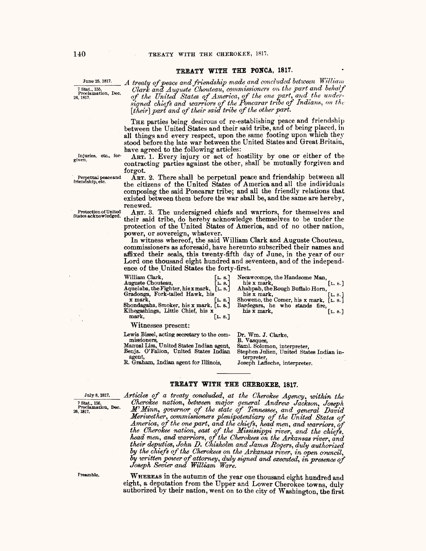## **TREATY WITH THE PONCA, 1817.**

<sup>June 25, 1817</sup> *A treaty of peace and friendship made and concluded between William*  $\frac{7 \text{ Stat.}}{7 \text{ Stat.}}$  *Stat.*, 155. *Clark and Ayayste Chonteau, commissioners on the part and behalf* <sup>7</sup> Stat., 155. *Clark and Auguste Chouteau*, commissioners on the part and behalf **Proclamation**, Dec. *of the United States of America*, of the one part, and the under-<sup>26</sup>, 1817. **of the United States of America, of the one part, and the under-<br>
<sup>26</sup>, 1817.** *sirrned chiefs and warriors of the Poncarar tribe of Indians, 011 the*  [their] part and of their said tribe of the other part.

> THE parties being desirous of re-establishing peace and friendship between the United States and their said tribe, and of being placed, in all things and every respect, upon the same footing upon which they stood before the late war between the United States and Great Britain, have agreed to the following articles:

Injuries, etc., for- ART. 1. Every injury or act of hostility by one or either of the given. contracting parties against the other, shall be mutually forgiven and

forgot.<br>Ferpetual peaceand ART. 2. There shall be perpetual peace and friendship between all<br>triendship, etc. the citizens of the United States of America and all the individuals composing the said Poncarar tribe; and all the friendly relations that existed between them before the war shall be, and the same are hereby,

> ART. 3. The undersigned chiefs and warriors, for themselves and their said tribe, do hereby acknowledge themselves to be under the protection of the United States of America, and of no other nation, power, or sovereign, whatever.

> In witness whereof, the said William Clark and Auguste Chouteau, commissioners as aforesaid, have hereunto subscribed their names and affixed their seals, this twenty-fifth day of June, in the year of our Lord one thousand eight hundred and seventeen, and of the independence of the United States the forty-first.

| William Clark.                             | [L.8]   |
|--------------------------------------------|---------|
| Auguste Chouteau.                          | [L. 8.] |
| Aquelaba, the Fighter, his x mark, [L. s.] |         |
| Gradonga, Fork-tailed Hawk, his            |         |
| x mark.                                    | [L. 8.  |
| Shondagaha, Smoker, his x mark, [L. s.]    |         |
| Kihegashinga, Little Chief, his x          |         |

Kihegashinga, Little Chief, his  $\overline{x}$  [L. s.]

Witnesses present:

Lewis Bissel, acting secretary to the com-<br>missioners,<br>Manual Lisa, United States Indian agent,

Benja. O'Fallon, United States Indian agent.

agent,<br>R. Graham, Indian agent for Illinois,

Necawcompe, the Handsome Man,<br>his x mark. his x mark, [L. s.]<br>Ahahpah, the Rough Buffalo Horn, hie x mark, (L. s.] Showeno, the Comer, his x mark, [L. s.) Bardegara, he who stands fire, his  $\bar{x}$  mark,  $[L. 8.$ 

Dr. Wm. J. Clarke, B. Vasques, Saml. Solomon, interpreter, Stephen Julien, United States Indian interpreter Joseph Lafleche, interpreter.

## **TREATY WITH THE CHEROKEE, 1817.**

July 8, 1817. **Articles of a treaty concluded, at the Cherokee Agency, within the** <br>Theroltee nation, between major general Andrew Jackson Joseph <sup>7</sup> *T* Stat., 156. *Oherokee nation, between major general Andrew Jackson, Joseph* 
<sup>26</sup>, 1817. <br>
<sup>26</sup>, 1817. *M.' Minn, governor of the state of Tennessee, and general David**Meriwether, commissioners plenipotentiary of the United States of* America, of the one part, and the chiefs, head men, and warriors, of the Cherokee nation, east of the *Mississippi river*, and the chiefs, *head men, and warriors, Qf the Cherokees on the Arkamas 1iver and*  their deputies, John D. Chisholm and James Rogers, duly authorized *'fty the /hieft of the Oherokees on the\_ Arkansas river, in council, 1iu W'1'1,tten, pqwer o.f attorney, dul;y signed and ea:ectded, in presence of Joseph &mer and Willwm Ware.* 

Preamble.

WHEREAS in the autumn of the year one thousand eight hundred and eight, a deputation from the Upper and Lower Cherokee towns, duly authorized by their nation, went on to the city of Washington, the first

renewed.<br>Frotection of United ART. 3<br>States acknowledged.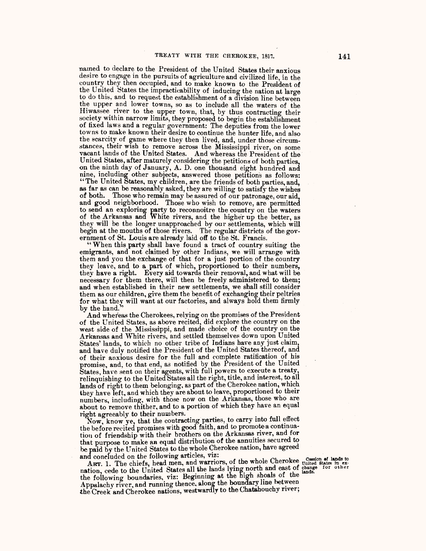named to declare to the President of the United States their anxious desire to engage in the pursuits of agriculture and civilized life, in the country they then occupied, and to make known to the President of the United States the impracticability of inducing the nation at large to do this, and to request the establishment of a division line between the upper and lower towns, so as to include all the waters of the Hiwassee river to the upper town, that, by thus contracting their society within narrow limits, they proposed to begin the establishment of fixed laws and a regular government: The deputies from the lower towns to make known their desire to continue the hunter life, and also the scarcity of game where they then lived, and, under those circumstances, their wish to remove across the Mississippi river, on some vacant lands of the United States. And whereas the President of the United States, after maturely considering the petitions of both parties on the ninth day of January, A. D. one thousand eight hundred and nine, including other subjects, answered those petitions as follows: "The United States, my children, are the friends of both parties, and, as far as can be reasonably asked, they are willing to satisfy the wishes of both. Those who remain may be assured of our patronage, our aid, and good neighborhood. Those who wish to remove, are permitted to send an exploring party to reconnoitre the country on the waters of the Arkansas and White rivers, and the higher up the better, as they will be the longer unapproached by our settlements, which will begin at the mouths of those rivers. The regular districts of the government of St. Louis are already laid off to the St. Francis.

'' When this party shall have found a tract of country suiting the emigrants, and not claimed by other Indians, we will arrange with them and you the exchange of that for a just portion of the country they leave, and to a part of which, proportioned to their numbers, thev have a right. Every aid towards their removal, and what will be necessary for them there, will then be freely administered to them; and when established in their new settlements, we shall still consider them as our children, give them the benefit of exchanging their peltries for what they will want at our factories, and always hold them firmly by the hand."

And whereas the Cherokees, relying on the promises of the President of the United States, as above recited, did explore the country on the west side of the Mississippi, and made choice of the country on the Arkansas and White rivers, and settled themselves down upon United States' lands, to which no other tribe of Indians have any just claim, and have duly notified the President of the United States thereof, and of their anxious desire for the full and complete ratification of his promise, and, to that end, as notified by the President of the United States, have sent on their agents, with full powers to execute a treaty, relinquishing to the United States all the right, title, and interest, to all lands of right to them belonging, as part of the Cherokee nation, which they have left, and which they are about to leave, proportioned to their numbers, including, with those now on the Arkansas, those who are about to remove thither, and to a portion of which they have an equal right agreeably to their numbers.

Now, know ye, that the contracting parties, to carry into full effect the before recited promises with good faith, and to promote a continuation of friendship with their brothers on the Arkansas river, and for that purpose to make an equal distribution of the annuities secured to be paid by the United States to the whole Cherokee nation, have agreed and concluded on the following articles, viz: and concluded on the following articles, VI<sub>2</sub>: cession of lands to changing of lands to

ART. 1. The chiefs, head men, and warriors, of the whole Cherokee United States in exnation, cede to the United States all the lands lying north and east of *change*<br>nation, cede to the United States all. the lands light shoels of the lands. the following boundaries, viz: Beginning at the high shoals of the Appalachy river, and running thence, along the boundary line between the Creek and Cherokee nations, westwardly to the Chatahouchy river;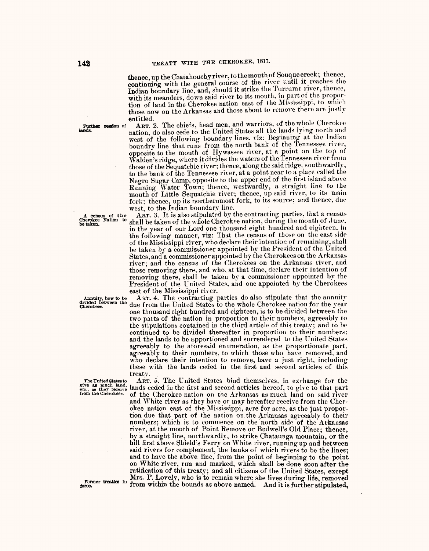thence, up the Chatahouchy river, to the mouth of Souque creek; thence, continuing with the general course of the river until it reaches the Indian boundary line, and, should it strike the Turrurar river, thence, with its meanders, down said river to its mouth, in part of the proportion of land in the Cherokee nation east of the Mississippi, to which those now on the Arkansas and those about to remove there are justly

entitled.<br>Further cession of ART. 2. The chiefs, head men, and warriors, of the whole Cherokee **lands.** nation do also cede to the Cnited States all the lands lying north and west of the following boundary lines, viz: Beginning at the Indian boundry line that runs from the north bank of the Tennessee river. opposite to the mouth of Hywassee river, at a point on the top of Walden's ridge, where it divides the waters of the Tennessee river from those of the Sequatchie river; thence, along the said ridge, southwardly, to the bank of the Tennessee river, at a point near to a place called the Negro Sugar Camp, opposite to the upper end of the first island above Running Water Town; thence, westwardly, a straight line to the mouth of Little Sequatchie river; thence, up said river, to its main fork; thence, up its northernmost fork, to its source; and thence, due west, to the Indian boundary line.

A census of the ART. 3. It is also stipulated by the contracting parties, that a census cherokee Nation to shall be taken of the whole Cherokee nation, during the month of June, in the year of our Lord one thousand eight hundred and eighteen, in the following manner, viz: That the census of those on the east side of the Mississippi river, who declare their intention of remaining, shall be taken by a commissioner appointed by the President of the *U* uited States, and a commissioner appointed by the Cherokees on the Arkansas river; and the census of the Cherokees on the Arkansas river, and those removing there, and who, at that time, declare their intention of removing there, shall be taken by a commissioner appointed by the President of the United States, and one appointed by the Cherokees east of the Mississippi river.

Annuity, how to be ART. 4. The contracting parties do also stipulate that the annuity divided between the due from the United States to the whole Cherokee nation for the year one thousand eight hundred and eighteen, is to be divided between the two parts of the nation in proportion to their numhers, agreeably to the stipulations contained in the third article of this treaty; and to he continued to be divided thereafter in proportion to their numbers: and the lands to be apportioned and surrendered to the United States agreeably to the aforesaid enumeration, as the proportionate part, agreeably to their numbers, to which those who have removed, and who declare their intention to remove, have a just right, including these with the lands ceded in the first and second articles of this treatv.

The United States to ART. 5. The United States bind themselves, in exchange for the give as much land, ceded in the first and second articles hereof, to give to that part ever, as they receive lands ceded in the first and lands ceded in the first and second articles hereof, to give to that part of the Cherokee nation on the Arkansas as much land on said river and White river as they have or may hereafter receive from the Cherokee nation east of the Mississippi, acre for acre, as the just proportion due that part of the nation on the Arkansas agreeably to their numbers; which is to commence on the north side of the Arkansas river, at the mouth of Point Remove or Budwell's Old Place; thence, by a straight line, northwardly, to strike Chataunga mountain, or the hill first above Shield's Ferry on White river, running up and between said rivers for complement, the banks of which rivers to be the lines; and to have the above line, from the point of beginning to the point on White river, run and marked, which shall be done soon after the ratification of this treaty; and all citizens of the United States, except Former treaties in Mrs. P. Lovely, who is to remain where she lives during life, removed<br>from within the bounds as above named. And it is further stipulated,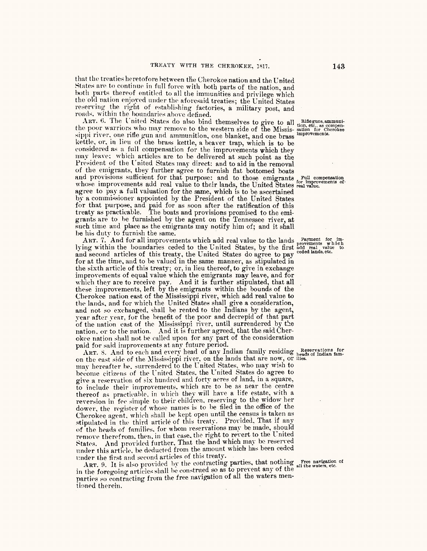that the treaties heretofore between the Cherokee nation and the United States are to continue in full force with both parts of the nation, and both parts thereof entitled to all the immunities and privilege which the old nation enjoyed under the aforesaid treaties; the United States reserving the right of establishing factories, a military post, and roads, within the boundaries above defined. roads, within the boundaries above defined.  $\mathcal{L}$  is the state  $\mathcal{L}$ 

ART. 6. The l'nited States do also bind themselves to give to all ... Rifleguns, ammunithe poor warriors who may remove to the western side of the Missis-sation for Cherokee<br>sippi river, one rifle gun and ammunition, one blanket, and one brass improvements. sippi river, one rifle gun and ammunition, one blanket, and one brass.<br>kettle, or, in lieu of the brass kettle, a beaver trap, which is to be considered as a full compensation for the improvements which they may leave: which articles are to be delivered at such point as the President of the United States may direct: and to aid in the removal of the emigrants, they further agree to furnish flat bottomed boats and provisions sufficient for that purpose: and to those emigrants Full compensation whose improvements add real value to their lands, the United States  $_{real}^{tor}$  manner of agree to pay a full valuation for the same, which is to be ascertained by a commissioner appointed by the President of the United States for that purpose, and paid for as soon after the ratification of this treaty as practicable. The boats and provisions promised to the emigrants are to be furnished by the agent on the Tennessee river, at such time and place as the emigrants may notify him of; and it shall be his duty to furnish the same. be his duty to furnish the same.  $\blacksquare$ 

ART. 7. And for all improvements which add real value to the lands  $\frac{P_{\text{a}}}{P_{\text{a}}}\text{ represent so high}$ lying within the boundaries ceded to the United States, by the first add real value to lying within the boundaries ceded to the United States, by the first and real value and second articles of this treaty, the United States do agree to pay ceded lands, etc. for at the time, and to be yalued in the same manner, as stipulated in the sixth article of this treaty; or, in lieu thereof, to give in exchange improvements of equal value which the emigrants may leave, and for which they are to receive pay. And it is further stipulated, that all these improvements, left by the emigrants within the bounds of the Cherokee nation east of the Mississippi river, which add real value to the lands, and for which the United States shall give a consideration, and not so exchanged, shall be rented to the Indians by the agent, vear after year, for the benefit of the poor and decrepid of that part of the nation east of the Mississippi river, until surrendered by the nation, or to the nation. And it is further agreed, that the said Cherokee nation shall not be called upon for any part of the consideration

paid fo1· said improvements at any future period. . . . . . ART. 8. And to each and every head of any Indian family res1dmg h!j:~~v~f:'n'3 ~: on the east side of the Mississippi river, on the lands that are now, or mes. may hereafter be. surrendered to the United States, who may wish to become citizens of the United States, the United States do agree to give a reservation of six hundred and forty acres of land, in a square, to include their improvements, which are to be as near the centre thereof as practicable, in which they will have a life estate, with a reversion in fee simple to their children, reserving to the widow her dower, the register of whose names is to be filed in the office of the Cherokee agent. which shall be kept open until the census is taken as stipulated in the third article of this treaty. Provided, That if any of the heads of families, for whom reservations may be made, should remove therefrom, then, in that case, the right to revert to the United States. And provided further, That the land which may be reserved under this article, be deducted from the amount which has been ceded under the first and second articles of this treaty.

1:1der the first and second articles of the contracting parties, that nothing Free navigation of ART. 9. It is also provided by the contracting parties, that nothing all the waters, etc. in the foregoing articles shall be construed so as to prevent any of the parties so contracting from the free navigation of all the waters mentioned therein.